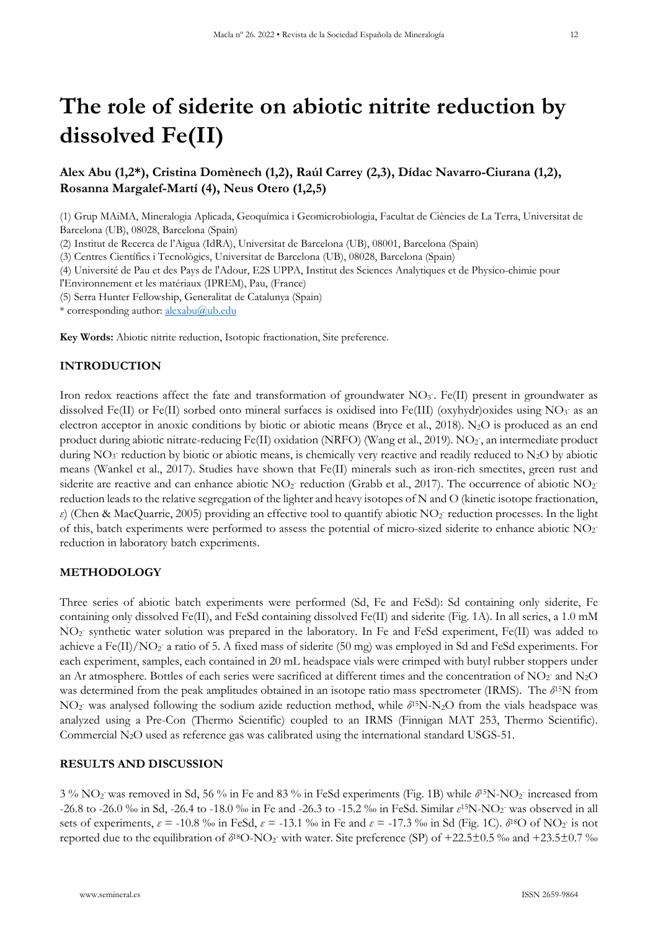# **The role of siderite on abiotic nitrite reduction by dissolved Fe(II)**

**Alex Abu (1,2\*), Cristina Domènech (1,2), Raúl Carrey (2,3), Dídac Navarro-Ciurana (1,2), Rosanna Margalef-Martí (4), Neus Otero (1,2,5)** 

(1) Grup MAiMA, Mineralogia Aplicada, Geoquímica i Geomicrobiologia, Facultat de Ciències de La Terra, Universitat de Barcelona (UB), 08028, Barcelona (Spain)

(2) Institut de Recerca de l'Aigua (IdRA), Universitat de Barcelona (UB), 08001, Barcelona (Spain)

(3) Centres Científics i Tecnològics, Universitat de Barcelona (UB), 08028, Barcelona (Spain)

(4) Université de Pau et des Pays de l'Adour, E2S UPPA, Institut des Sciences Analytiques et de Physico-chimie pour

l'Environnement et les matériaux (IPREM), Pau, (France)

(5) Serra Hunter Fellowship, Generalitat de Catalunya (Spain)

\* corresponding author: [alexabu@ub.edu](mailto:alexabu@ub.edu)

**Key Words:** Abiotic nitrite reduction, Isotopic fractionation, Site preference.

## **INTRODUCTION**

Iron redox reactions affect the fate and transformation of groundwater NO<sub>3</sub>. Fe(II) present in groundwater as dissolved Fe(II) or Fe(II) sorbed onto mineral surfaces is oxidised into Fe(III) (oxyhydr)oxides using NO3 as an electron acceptor in anoxic conditions by biotic or abiotic means (Bryce et al., 2018). N<sub>2</sub>O is produced as an end product during abiotic nitrate-reducing Fe(II) oxidation (NRFO) (Wang et al., 2019). NO<sub>2</sub>, an intermediate product during  $NO_3$  reduction by biotic or abiotic means, is chemically very reactive and readily reduced to  $N_2O$  by abiotic means (Wankel et al., 2017). Studies have shown that Fe(II) minerals such as iron-rich smectites, green rust and siderite are reactive and can enhance abiotic  $NO_2$  reduction (Grabb et al., 2017). The occurrence of abiotic  $NO_2$ reduction leads to the relative segregation of the lighter and heavy isotopes of N and O (kinetic isotope fractionation, ε) (Chen & MacQuarrie, 2005) providing an effective tool to quantify abiotic NO<sub>2</sub> reduction processes. In the light of this, batch experiments were performed to assess the potential of micro-sized siderite to enhance abiotic  $NO<sub>2</sub>$ reduction in laboratory batch experiments.

# **METHODOLOGY**

Three series of abiotic batch experiments were performed (Sd, Fe and FeSd): Sd containing only siderite, Fe containing only dissolved Fe(II), and FeSd containing dissolved Fe(II) and siderite (Fig. 1A). In all series, a 1.0 mM NO<sub>2</sub> synthetic water solution was prepared in the laboratory. In Fe and FeSd experiment, Fe(II) was added to achieve a Fe(II)/NO<sub>2</sub> a ratio of 5. A fixed mass of siderite (50 mg) was employed in Sd and FeSd experiments. For each experiment, samples, each contained in 20 mL headspace vials were crimped with butyl rubber stoppers under an Ar atmosphere. Bottles of each series were sacrificed at different times and the concentration of  $NO<sub>2</sub>$  and  $N<sub>2</sub>O$ was determined from the peak amplitudes obtained in an isotope ratio mass spectrometer (IRMS). The *δ*15N from NO<sub>2</sub> was analysed following the sodium azide reduction method, while  $\delta$ <sup>15</sup>N-N<sub>2</sub>O from the vials headspace was analyzed using a Pre-Con (Thermo Scientific) coupled to an IRMS (Finnigan MAT 253, Thermo Scientific). Commercial N2O used as reference gas was calibrated using the international standard USGS-51.

#### **RESULTS AND DISCUSSION**

3 % NO2 - was removed in Sd, 56 % in Fe and 83 % in FeSd experiments (Fig. 1B) while *δ*15N-NO2 - increased from -26.8 to -26.0 ‰ in Sd, -26.4 to -18.0 ‰ in Fe and -26.3 to -15.2 ‰ in FeSd. Similar *ε*15N-NO2 - was observed in all sets of experiments,  $\varepsilon$  = -10.8 ‰ in FeSd,  $\varepsilon$  = -13.1 ‰ in Fe and  $\varepsilon$  = -17.3 ‰ in Sd (Fig. 1C).  $\delta^{18}O$  of NO<sub>2</sub> is not reported due to the equilibration of  $\delta^{18}O\text{-NO}_2$  with water. Site preference (SP) of +22.5±0.5 ‰ and +23.5±0.7 ‰